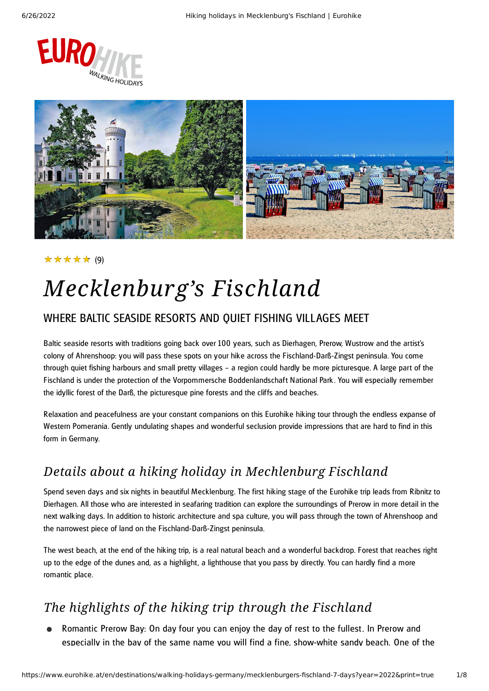



### (9) ★★★★★

# *Mecklenburg's Fischland*

### WHERE BALTIC SEASIDE RESORTS AND QUIET FISHING VILLAGES MEET

Baltic seaside resorts with traditions going back over 100 years, such as Dierhagen, Prerow, Wustrow and the artist's colony of Ahrenshoop: you will pass these spots on your hike across the Fischland-Darß-Zingst peninsula. You come through quiet fishing harbours and small pretty villages – a region could hardly be more picturesque. A large part of the Fischland is under the protection of the Vorpommersche Boddenlandschaft National Park . You will especially remember the idyllic forest of the Darß, the picturesque pine forests and the cliffs and beaches.

Relaxation and peacefulness are your constant companions on this Eurohike hiking tour through the endless expanse of Western Pomerania. Gently undulating shapes and wonderful seclusion provide impressions that are hard to find in this form in Germany.

### *Details about a hiking holiday in Mechlenburg Fischland*

Spend seven days and six nights in beautiful Mecklenburg. The first hiking stage of the Eurohike trip leads from Ribnitz to Dierhagen. All those who are interested in seafaring tradition can explore the surroundings of Prerow in more detail in the next walking days. In addition to historic architecture and spa culture, you will pass through the town of Ahrenshoop and the narrowest piece of land on the Fischland-Darß-Zingst peninsula.

The west beach, at the end of the hiking trip, is a real natural beach and a wonderful backdrop. Forest that reaches right up to the edge of the dunes and, as a highlight, a lighthouse that you pass by directly. You can hardly find a more romantic place.

## *The highlights of the hiking trip through the Fischland*

Romantic Prerow Bay: On day four you can enjoy the day of rest to the fullest. In Prerow and especially in the bay of the same name you will find a fine, show-white sandy beach. One of the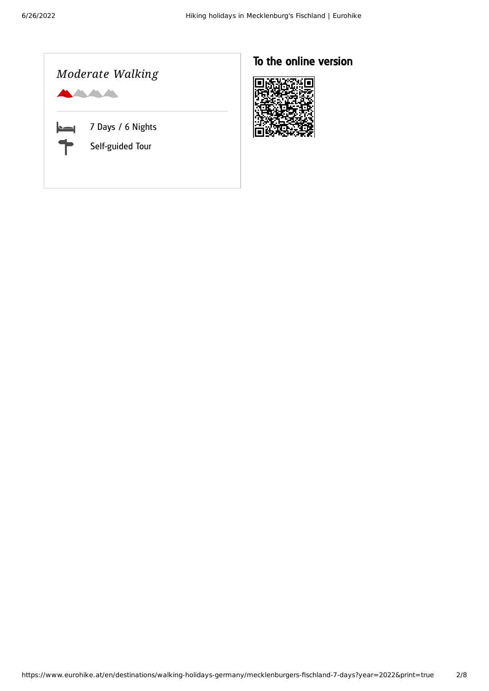

### To the online version

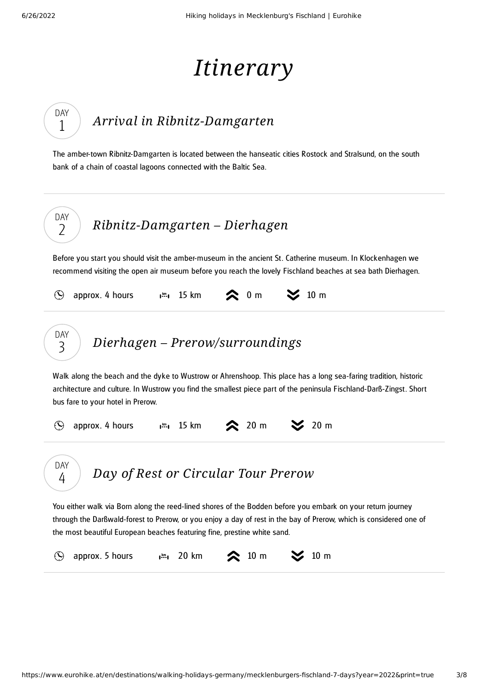DAY 1

# *Itinerary*

## *Arrival in [Ribnitz-Damgarten](#page-2-0)*

<span id="page-2-0"></span>The amber-town Ribnitz-Damgarten is located between the hanseatic cities Rostock and Stralsund, on the south bank of a chain of coastal lagoons connected with the Baltic Sea.



<span id="page-2-1"></span>Before you start you should visit the amber-museum in the ancient St. Catherine museum. In Klockenhagen we recommend visiting the open air museum before you reach the lovely Fischland beaches at sea bath Dierhagen.

<span id="page-2-3"></span><span id="page-2-2"></span>

|                                                                                                                                                                                                                                                                                                               | approx. 4 hours $\mathbf{I}^{\text{m}}$ , 15 km   |  |  | $\lambda$ 0 m          | $\geq$ 10 m |                  |  |  |
|---------------------------------------------------------------------------------------------------------------------------------------------------------------------------------------------------------------------------------------------------------------------------------------------------------------|---------------------------------------------------|--|--|------------------------|-------------|------------------|--|--|
| <b>DAY</b><br>3                                                                                                                                                                                                                                                                                               | Dierhagen – Prerow/surroundings                   |  |  |                        |             |                  |  |  |
| Walk along the beach and the dyke to Wustrow or Ahrenshoop. This place has a long sea-faring tradition, historic<br>architecture and culture. In Wustrow you find the smallest piece part of the peninsula Fischland-Darß-Zingst. Short<br>bus fare to your hotel in Prerow.                                  |                                                   |  |  |                        |             |                  |  |  |
| $(\blacktriangle)$                                                                                                                                                                                                                                                                                            | approx. 4 hours $\mathbf{I}^{\mathbf{m}}$ , 15 km |  |  | $\approx 20 \text{ m}$ |             | $\approx$ 20 m   |  |  |
| DAY<br>4                                                                                                                                                                                                                                                                                                      | Day of Rest or Circular Tour Prerow               |  |  |                        |             |                  |  |  |
| You either walk via Born along the reed-lined shores of the Bodden before you embark on your return journey<br>through the Darßwald-forest to Prerow, or you enjoy a day of rest in the bay of Prerow, which is considered one of<br>the most beautiful European beaches featuring fine, prestine white sand. |                                                   |  |  |                        |             |                  |  |  |
|                                                                                                                                                                                                                                                                                                               | approx. 5 hours $\mathbf{I}^{\text{km}}$ , 20 km  |  |  | 10 <sub>m</sub>        |             | $10 \, \text{m}$ |  |  |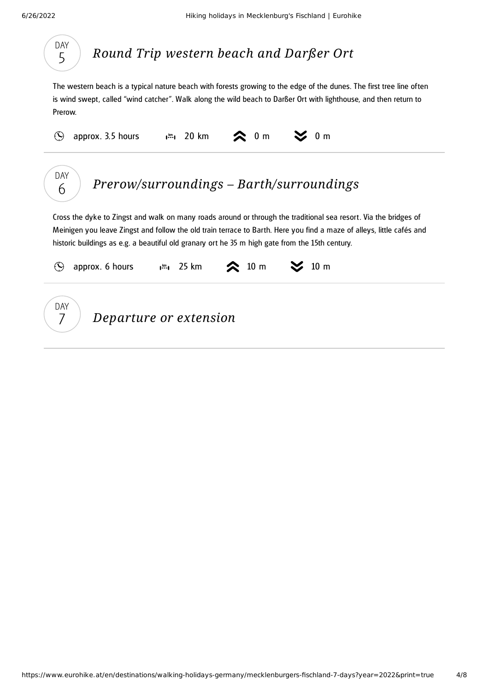

## *Round Trip [western](#page-3-0) beach and Darßer Ort*

<span id="page-3-0"></span>The western beach is a typical nature beach with forests growing to the edge of the dunes. The first tree line often is wind swept, called "wind catcher". Walk along the wild beach to Darßer Ort with lighthouse, and then return to Prerow.

<span id="page-3-1"></span>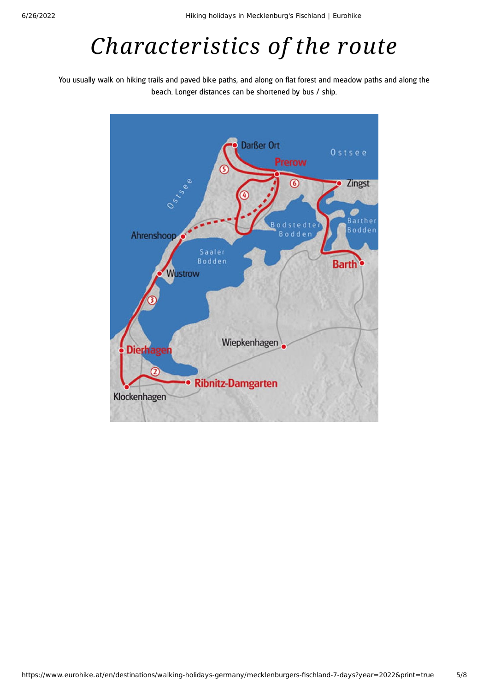# *Characteristics of the route*

You usually walk on hiking trails and paved bike paths, and along on flat forest and meadow paths and along the beach. Longer distances can be shortened by bus / ship.

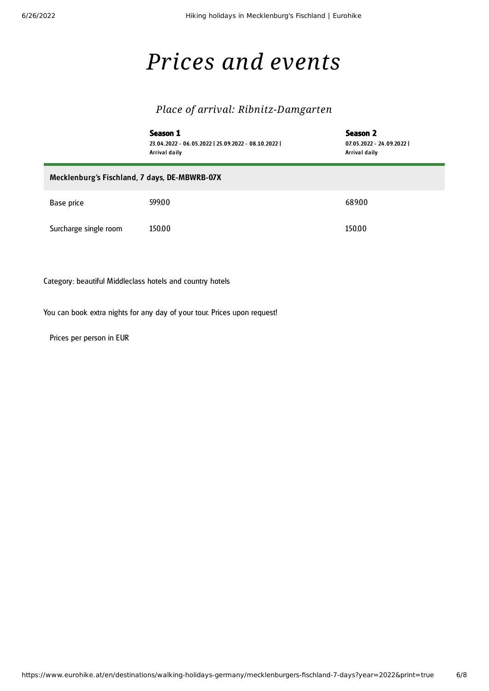F

## *Prices and events*

### *Place of arrival: Ribnitz-Damgarten*

|                                               | Season 1<br>23.04.2022 - 06.05.2022   25.09.2022 - 08.10.2022  <br>Arrival daily | Season 2<br>07.05.2022 - 24.09.2022  <br>Arrival daily |  |  |  |  |  |
|-----------------------------------------------|----------------------------------------------------------------------------------|--------------------------------------------------------|--|--|--|--|--|
| Mecklenburg's Fischland, 7 days, DE-MBWRB-07X |                                                                                  |                                                        |  |  |  |  |  |
| Base price                                    | 599.00                                                                           | 689.00                                                 |  |  |  |  |  |
| Surcharge single room                         | 150.00                                                                           | 150.00                                                 |  |  |  |  |  |

Category: beautiful Middleclass hotels and country hotels

You can book extra nights for any day of your tour. Prices upon request!

Prices per person in EUR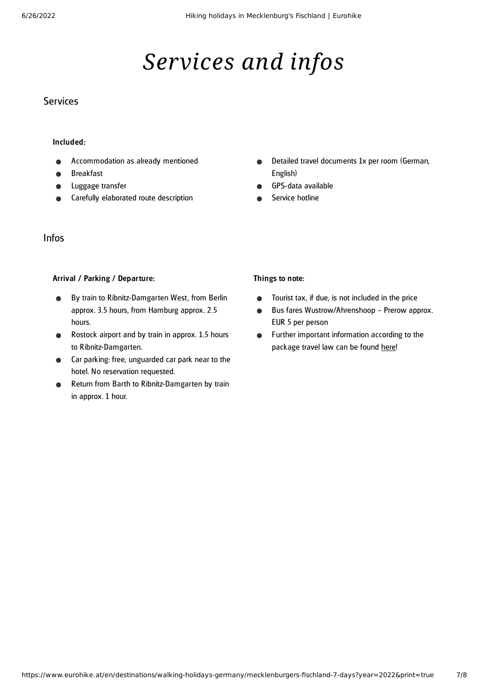# *Services and infos*

### **Services**

#### Included:

- Accommodation as already mentioned
- Breakfast
- Luggage transfer
- Carefully elaborated route description

### Infos

#### Arrival / Parking / Departure:

- By train to Ribnitz-Damgarten West, from Berlin  $\bullet$ approx. 3.5 hours, from Hamburg approx. 2.5 hours.
- Rostock airport and by train in approx. 1.5 hours  $\bullet$ to Ribnitz-Damgarten.
- Car parking: free, unguarded car park near to the hotel. No reservation requested.
- Return from Barth to Ribnitz-Damgarten by train in approx. 1 hour.
- Detailed travel documents 1x per room (German,  $\bullet$ English)
- GPS-data available
- Service hotline

#### Things to note:

- Tourist tax, if due, is not included in the price  $\bullet$
- Bus fares Wustrow/Ahrenshoop Prerow approx.  $\bullet$ EUR 5 per person
- Further important information according to the  $\bullet$ package travel law can be found [here](https://www.eurohike.at/en/travel-information/before-the-tour/pci)!